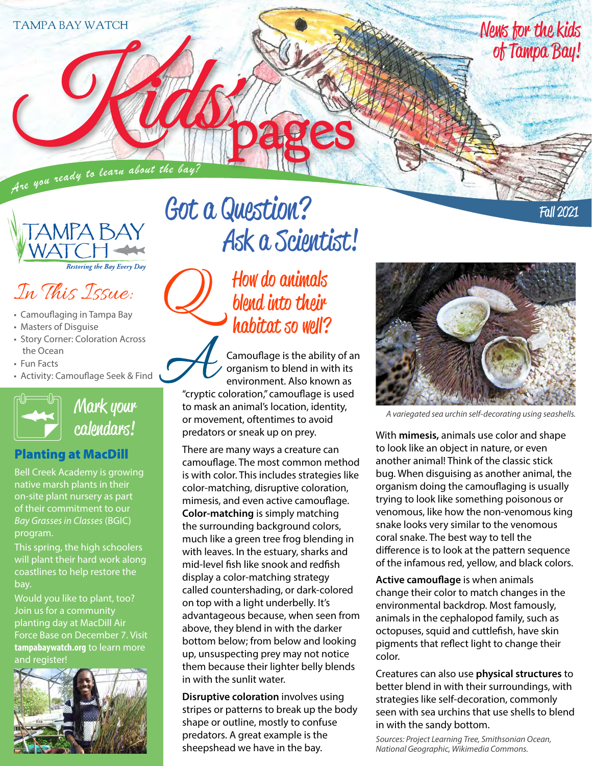Are you ready to learn about the bay?



In This Issue:

- Camouflaging in Tampa Bay
- Masters of Disguise
- Story Corner: Coloration Across the Ocean
- Fun Facts
- Activity: Camouflage Seek & Find



Mark your calendars!

#### Planting at MacDill

Bell Creek Academy is growing native marsh plants in their on-site plant nursery as part of their commitment to our *Bay Grasses in Classes* (BGIC) program.

This spring, the high schoolers will plant their hard work along coastlines to help restore the bay.

Would you like to plant, too? Join us for a community planting day at MacDill Air Force Base on December 7. Visit **tampabaywatch.org** to learn more and register!



# Got a Question? Ask a Scientist!

How do animals blend into their habitat so well?

Camouflage is the ability of an organism to blend in with its environment. Also known as "cryptic coloration," camouflage is used to mask an animal's location, identity, or movement, oftentimes to avoid predators or sneak up on prey.

There are many ways a creature can camouflage. The most common method is with color. This includes strategies like color-matching, disruptive coloration, mimesis, and even active camouflage. **Color-matching** is simply matching the surrounding background colors, much like a green tree frog blending in with leaves. In the estuary, sharks and mid-level fish like snook and redfish display a color-matching strategy called countershading, or dark-colored on top with a light underbelly. It's advantageous because, when seen from above, they blend in with the darker bottom below; from below and looking up, unsuspecting prey may not notice them because their lighter belly blends in with the sunlit water.

**Disruptive coloration** involves using stripes or patterns to break up the body shape or outline, mostly to confuse predators. A great example is the sheepshead we have in the bay.

*A variegated sea urchin self-decorating using seashells.*

With **mimesis,** animals use color and shape to look like an object in nature, or even another animal! Think of the classic stick bug. When disguising as another animal, the organism doing the camouflaging is usually trying to look like something poisonous or venomous, like how the non-venomous king snake looks very similar to the venomous coral snake. The best way to tell the difference is to look at the pattern sequence of the infamous red, yellow, and black colors.

**Active camouflage** is when animals change their color to match changes in the environmental backdrop. Most famously, animals in the cephalopod family, such as octopuses, squid and cuttlefish, have skin pigments that reflect light to change their color.

Creatures can also use **physical structures** to better blend in with their surroundings, with strategies like self-decoration, commonly seen with sea urchins that use shells to blend in with the sandy bottom.

*Sources: Project Learning Tree, Smithsonian Ocean, National Geographic, Wikimedia Commons.*

Fall 2021

News for the kids

of Tampa Bay!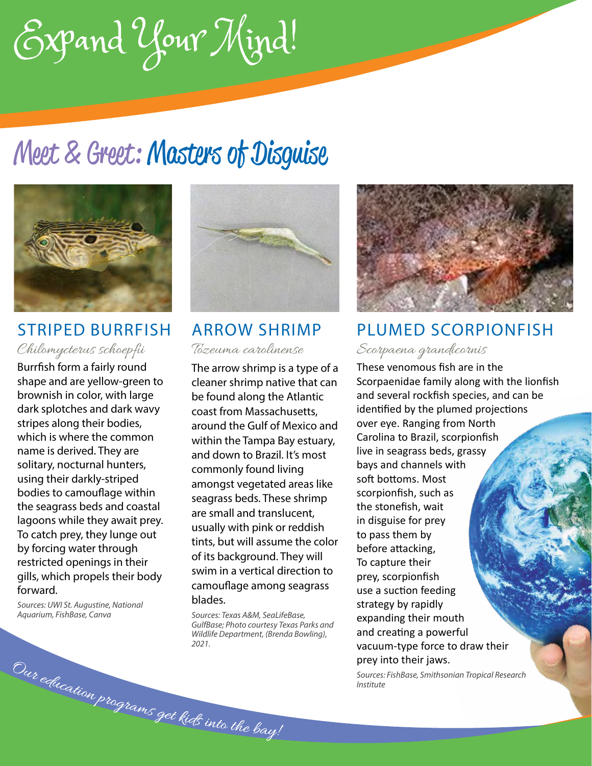Expand Your Mind!

## Meet & Greet: Masters of Disguise



### STRIPED BURRFISH Chilomycterus schoepfii

Burrfish form a fairly round shape and are yellow-green to brownish in color, with large dark splotches and dark wavy stripes along their bodies, which is where the common name is derived. They are solitary, nocturnal hunters, using their darkly-striped bodies to camouflage within the seagrass beds and coastal lagoons while they await prey. To catch prey, they lunge out by forcing water through restricted openings in their gills, which propels their body forward.

*Sources: UWI St. Augustine, National Aquarium, FishBase, Canva*

Our education programs get kids into the bay!



ARROW SHRIMP Tozeuma carolinense

The arrow shrimp is a type of a cleaner shrimp native that can be found along the Atlantic coast from Massachusetts, around the Gulf of Mexico and within the Tampa Bay estuary, and down to Brazil. It's most commonly found living amongst vegetated areas like seagrass beds. These shrimp are small and translucent, usually with pink or reddish tints, but will assume the color of its background. They will swim in a vertical direction to camouflage among seagrass blades.

*Sources: Texas A&M, SeaLifeBase, GulfBase; Photo courtesy Texas Parks and Wildlife Department, (Brenda Bowling), 2021.*



### PLUMED SCORPIONFISH

#### Scorpaena grandicornis

These venomous fish are in the Scorpaenidae family along with the lionfish and several rockfish species, and can be identified by the plumed projections over eye. Ranging from North Carolina to Brazil, scorpionfish live in seagrass beds, grassy bays and channels with soft bottoms. Most scorpionfish, such as the stonefish, wait in disguise for prey to pass them by before attacking, To capture their prey, scorpionfish use a suction feeding strategy by rapidly expanding their mouth and creating a powerful vacuum-type force to draw their prey into their jaws.

*Sources: FishBase, Smithsonian Tropical Research Institute*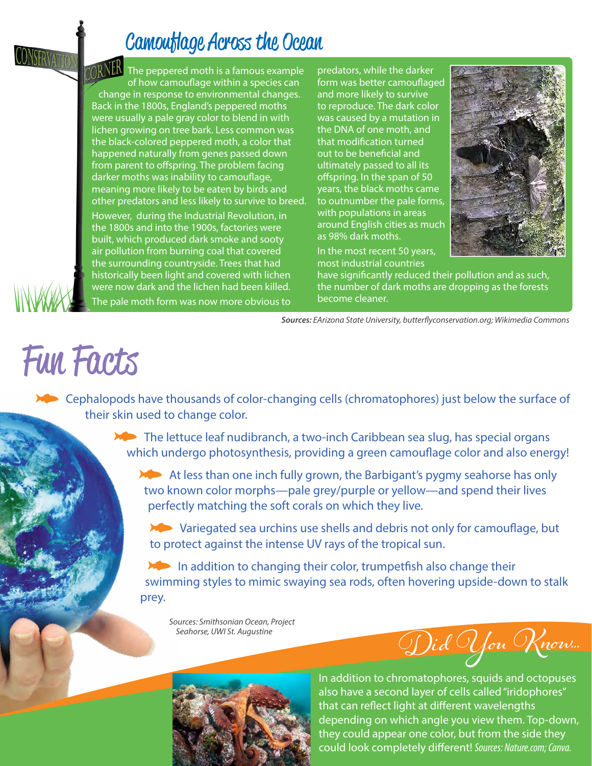### Camouflage Across the Ocean

ORNER The peppered moth is a famous example of how camouflage within a species can change in response to environmental changes. Back in the 1800s, England's peppered moths were usually a pale gray color to blend in with lichen growing on tree bark. Less common was the black-colored peppered moth, a color that happened naturally from genes passed down from parent to offspring. The problem facing darker moths was inability to camouflage, meaning more likely to be eaten by birds and other predators and less likely to survive to breed.

However, during the Industrial Revolution, in the 1800s and into the 1900s, factories were built, which produced dark smoke and sooty air pollution from burning coal that covered the surrounding countryside. Trees that had historically been light and covered with lichen were now dark and the lichen had been killed. The pale moth form was now more obvious to

predators, while the darker form was better camouflaged and more likely to survive to reproduce. The dark color was caused by a mutation in the DNA of one moth, and that modification turned out to be beneficial and ultimately passed to all its offspring. In the span of 50 years, the black moths came to outnumber the pale forms, with populations in areas around English cities as much as 98% dark moths.

In the most recent 50 years, most industrial countries



have significantly reduced their pollution and as such, the number of dark moths are dropping as the forests become cleaner.

*Sources: EArizona State University, butterflyconservation.org; Wikimedia Commons*

# Fun Facts

 Cephalopods have thousands of color-changing cells (chromatophores) just below the surface of their skin used to change color.

> **The lettuce leaf nudibranch, a two-inch Caribbean sea slug, has special organs** which undergo photosynthesis, providing a green camouflage color and also energy!

At less than one inch fully grown, the Barbigant's pygmy seahorse has only two known color morphs—pale grey/purple or yellow—and spend their lives perfectly matching the soft corals on which they live.

 Variegated sea urchins use shells and debris not only for camouflage, but to protect against the intense UV rays of the tropical sun.

In addition to changing their color, trumpetfish also change their swimming styles to mimic swaying sea rods, often hovering upside-down to stalk prey.

*Sources: Smithsonian Ocean, Project Seahorse, UWI St. Augustine*

Did You Know...



In addition to chromatophores, squids and octopuses also have a second layer of cells called "iridophores" that can reflect light at different wavelengths depending on which angle you view them. Top-down, they could appear one color, but from the side they could look completely different! *Sources: Nature.com; Canva.*